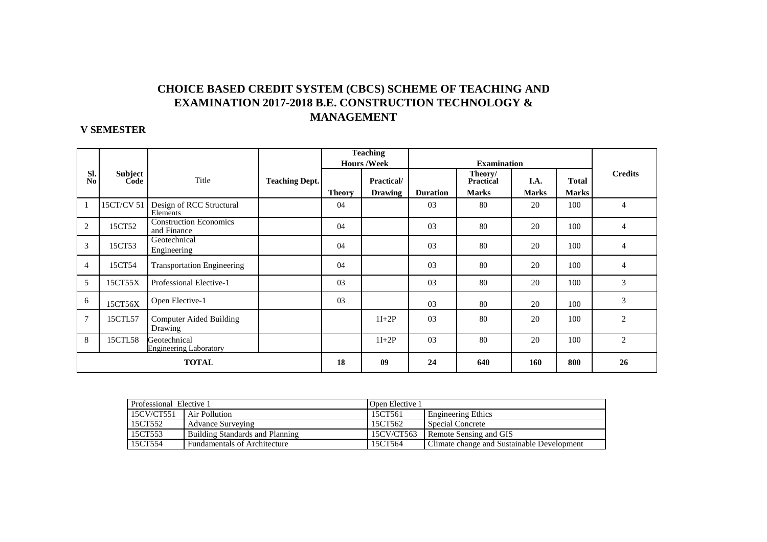## **CHOICE BASED CREDIT SYSTEM (CBCS) SCHEME OF TEACHING AND EXAMINATION 2017-2018 B.E. CONSTRUCTION TECHNOLOGY & MANAGEMENT**

### **V SEMESTER**

|                       |                        |                                               |                       |               | <b>Teaching</b>    |                 |                             |              |              |                |
|-----------------------|------------------------|-----------------------------------------------|-----------------------|---------------|--------------------|-----------------|-----------------------------|--------------|--------------|----------------|
|                       |                        |                                               |                       |               | <b>Hours /Week</b> |                 |                             |              |              |                |
| SI.<br>N <sub>o</sub> | <b>Subject</b><br>Code | Title                                         | <b>Teaching Dept.</b> |               | Practical/         |                 | Theory/<br><b>Practical</b> | I.A.         | <b>Total</b> | <b>Credits</b> |
|                       |                        |                                               |                       | <b>Theory</b> | <b>Drawing</b>     | <b>Duration</b> | <b>Marks</b>                | <b>Marks</b> | <b>Marks</b> |                |
| $\mathbf{1}$          | 15CT/CV 51             | Design of RCC Structural<br>Elements          |                       | 04            |                    | 03              | 80                          | 20           | 100          | $\overline{4}$ |
| 2                     | 15CT52                 | <b>Construction Economics</b><br>and Finance  |                       | 04            |                    | 03              | 80                          | 20           | 100          | 4              |
| 3                     | 15CT53                 | Geotechnical<br>Engineering                   |                       | 04            |                    | 03              | 80                          | 20           | 100          | $\overline{4}$ |
| $\overline{4}$        | 15CT54                 | <b>Transportation Engineering</b>             |                       | 04            |                    | 03              | 80                          | 20           | 100          | 4              |
| 5                     | 15CT55X                | Professional Elective-1                       |                       | 03            |                    | 03              | 80                          | 20           | 100          | 3              |
| 6                     | 15CT56X                | Open Elective-1                               |                       | 03            |                    | 03              | 80                          | 20           | 100          | 3              |
| $\overline{7}$        | 15CTL57                | <b>Computer Aided Building</b><br>Drawing     |                       |               | $1I+2P$            | 03              | 80                          | 20           | 100          | $\overline{c}$ |
| 8                     | 15CTL58                | Geotechnical<br><b>Engineering Laboratory</b> |                       |               | $1I+2P$            | 0 <sub>3</sub>  | 80                          | 20           | 100          | $\overline{2}$ |
|                       | <b>TOTAL</b>           |                                               |                       | 18            | 09                 | 24              | 640                         | 160          | 800          | 26             |

| Professional Elective 1 |                                 | Open Elective 1 |                                            |  |  |
|-------------------------|---------------------------------|-----------------|--------------------------------------------|--|--|
| 15CV/CT551              | Air Pollution                   | 15CT561         | <b>Engineering Ethics</b>                  |  |  |
| 15CT552                 | Advance Surveying               | 15CT562         | Special Concrete                           |  |  |
| 15CT553                 | Building Standards and Planning | 15CV/CT563      | Remote Sensing and GIS                     |  |  |
| 15CT554                 | Fundamentals of Architecture    | 15CT564         | Climate change and Sustainable Development |  |  |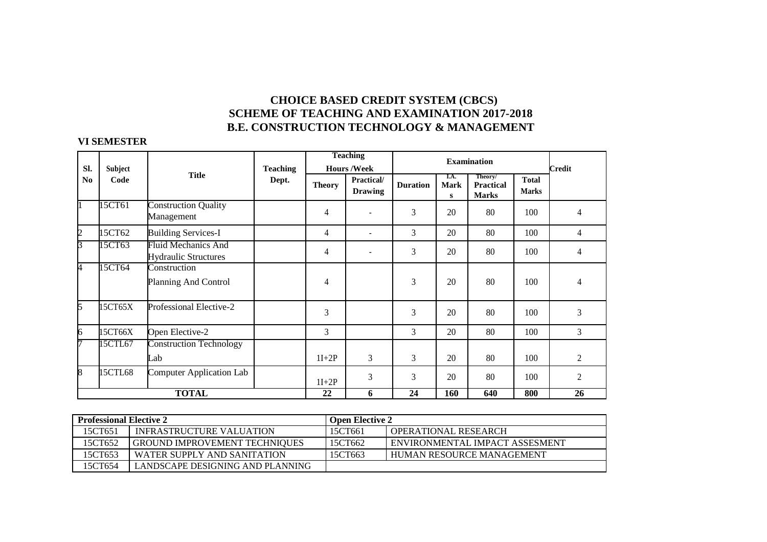# **CHOICE BASED CREDIT SYSTEM (CBCS) SCHEME OF TEACHING AND EXAMINATION 2017-2018**<br>R.E. CONSTRUCTION TECHNOLOGY & MANAGEMENT **B.E. CONSTRUCTION TECHNOLOGY & MANAGEMENT**

#### **VI SEMESTER**

|                |         |                                                           |                 |               | <b>Teaching</b>              | <b>Examination</b><br><b>Credit</b><br>Theory/<br>I.A.<br><b>Total</b><br><b>Duration</b><br><b>Mark</b><br><b>Practical</b><br><b>Marks</b><br><b>Marks</b><br>S<br>3<br>80<br>20<br>100<br>4<br>3<br>80<br>20<br>100<br>4<br>3<br>80<br>20<br>100<br>4<br>3<br>20<br>80<br>100 |            |     |     |                 |  |
|----------------|---------|-----------------------------------------------------------|-----------------|---------------|------------------------------|----------------------------------------------------------------------------------------------------------------------------------------------------------------------------------------------------------------------------------------------------------------------------------|------------|-----|-----|-----------------|--|
| SI.            | Subject |                                                           | <b>Teaching</b> |               | <b>Hours/Week</b>            |                                                                                                                                                                                                                                                                                  |            |     |     |                 |  |
| N <sub>0</sub> | Code    | <b>Title</b>                                              | Dept.           | <b>Theory</b> | Practical/<br><b>Drawing</b> |                                                                                                                                                                                                                                                                                  |            |     |     |                 |  |
|                | 15CT61  | <b>Construction Quality</b><br>Management                 |                 | 4             |                              |                                                                                                                                                                                                                                                                                  |            |     |     |                 |  |
| 2              | 15CT62  | <b>Building Services-I</b>                                |                 | 4             | $\blacksquare$               |                                                                                                                                                                                                                                                                                  |            |     |     |                 |  |
| 3              | 15CT63  | <b>Fluid Mechanics And</b><br><b>Hydraulic Structures</b> |                 | 4             | $\blacksquare$               |                                                                                                                                                                                                                                                                                  |            |     |     |                 |  |
| 4              | 15CT64  | Construction<br>Planning And Control                      |                 | 4             |                              |                                                                                                                                                                                                                                                                                  |            |     |     |                 |  |
| 5              | 15CT65X | Professional Elective-2                                   |                 | 3             |                              | 3                                                                                                                                                                                                                                                                                | 20         | 80  | 100 | 3               |  |
| 6              | 15CT66X | Open Elective-2                                           |                 | 3             |                              | 3                                                                                                                                                                                                                                                                                | 20         | 80  | 100 | 3               |  |
| 7              | 15CTL67 | <b>Construction Technology</b><br>Lab                     |                 | $1I+2P$       | 3                            | 3                                                                                                                                                                                                                                                                                | 20         | 80  | 100 | 2               |  |
| 8              | 15CTL68 | <b>Computer Application Lab</b>                           |                 | $1I+2P$       | 3                            | 3                                                                                                                                                                                                                                                                                | 20         | 80  | 100 | $\overline{2}$  |  |
|                |         | <b>TOTAL</b>                                              |                 | 22            | 6                            | $\overline{24}$                                                                                                                                                                                                                                                                  | <b>160</b> | 640 | 800 | $\overline{26}$ |  |

| <b>Professional Elective 2</b> |                                      | <b>Open Elective 2</b> |                                         |
|--------------------------------|--------------------------------------|------------------------|-----------------------------------------|
| 15CT651                        | INFRASTRUCTURE VALUATION             | 15CT661                | <b>I OPERATIONAL RESEARCH</b>           |
| 15CT652                        | <b>GROUND IMPROVEMENT TECHNIQUES</b> | 15CT662                | <b>I ENVIRONMENTAL IMPACT ASSESMENT</b> |
| 15CT653                        | WATER SUPPLY AND SANITATION          | 15CT663                | HUMAN RESOURCE MANAGEMENT               |
| 15CT654                        | LANDSCAPE DESIGNING AND PLANNING     |                        |                                         |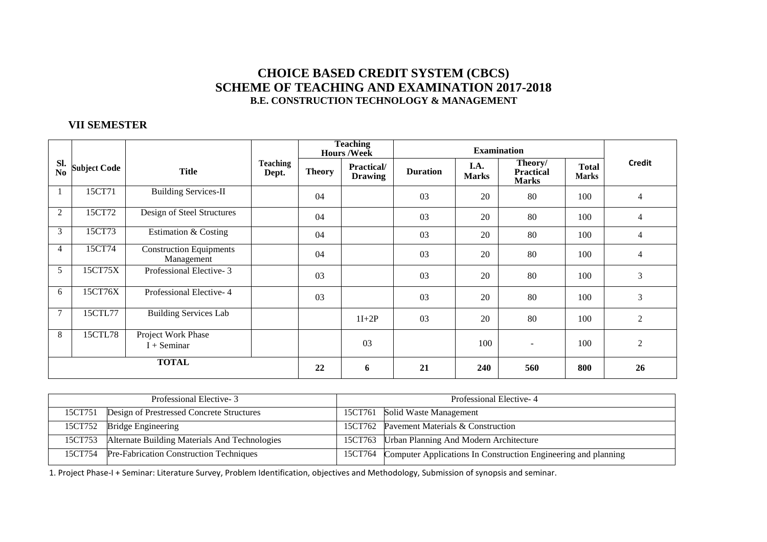## **CHOICE BASED CREDIT SYSTEM (CBCS) SCHEME OF TEACHING AND EXAMINATION 2017-2018B.E. CONSTRUCTION TECHNOLOGY & MANAGEMENT**

#### **VII SEMESTER**

|                |                     |                                              |                          | <b>Teaching</b><br><b>Hours/Week</b> |                                     |                 |                      |                                             |                              |                |
|----------------|---------------------|----------------------------------------------|--------------------------|--------------------------------------|-------------------------------------|-----------------|----------------------|---------------------------------------------|------------------------------|----------------|
| Sl.<br>No      | <b>Subject Code</b> | <b>Title</b>                                 | <b>Teaching</b><br>Dept. | <b>Theory</b>                        | <b>Practical/</b><br><b>Drawing</b> | <b>Duration</b> | I.A.<br><b>Marks</b> | Theory/<br><b>Practical</b><br><b>Marks</b> | <b>Total</b><br><b>Marks</b> | <b>Credit</b>  |
|                | 15CT71              | <b>Building Services-II</b>                  |                          | 04                                   |                                     | 03              | 20                   | 80                                          | 100                          | $\overline{4}$ |
| $\overline{2}$ | 15CT72              | Design of Steel Structures                   |                          | 04                                   |                                     | 03              | 20                   | 80                                          | 100                          | 4              |
| 3              | 15CT73              | Estimation & Costing                         |                          | 04                                   |                                     | 03              | 20                   | 80                                          | 100                          | 4              |
| $\overline{4}$ | 15CT74              | <b>Construction Equipments</b><br>Management |                          | 04                                   |                                     | 03              | 20                   | 80                                          | 100                          | 4              |
| 5              | 15CT75X             | Professional Elective-3                      |                          | 03                                   |                                     | 03              | 20                   | 80                                          | 100                          | 3              |
| 6              | 15CT76X             | Professional Elective-4                      |                          | 03                                   |                                     | 03              | 20                   | 80                                          | 100                          | $\mathfrak{Z}$ |
| 7              | 15CTL77             | <b>Building Services Lab</b>                 |                          |                                      | $1I+2P$                             | 03              | 20                   | 80                                          | 100                          | 2              |
| 8              | 15CTL78             | Project Work Phase<br>$I +$ Seminar          |                          |                                      | 03                                  |                 | 100                  | ۰                                           | 100                          | $\overline{c}$ |
| <b>TOTAL</b>   |                     |                                              | 22                       | 6                                    | 21                                  | 240             | 560                  | 800                                         | 26                           |                |

| Professional Elective-3 |                                               |         | Professional Elective-4                                        |
|-------------------------|-----------------------------------------------|---------|----------------------------------------------------------------|
| 15CT751                 | Design of Prestressed Concrete Structures     |         | 15CT761 Solid Waste Management                                 |
| 15CT752                 | <b>Bridge Engineering</b>                     |         | 15CT762 Pavement Materials & Construction                      |
| 15CT753                 | Alternate Building Materials And Technologies |         | 15CT763   Urban Planning And Modern Architecture               |
| 15CT754                 | Pre-Fabrication Construction Techniques       | 15CT764 | Computer Applications In Construction Engineering and planning |

1. Project Phase-I + Seminar: Literature Survey, Problem Identification, objectives and Methodology, Submission of synopsis and seminar.